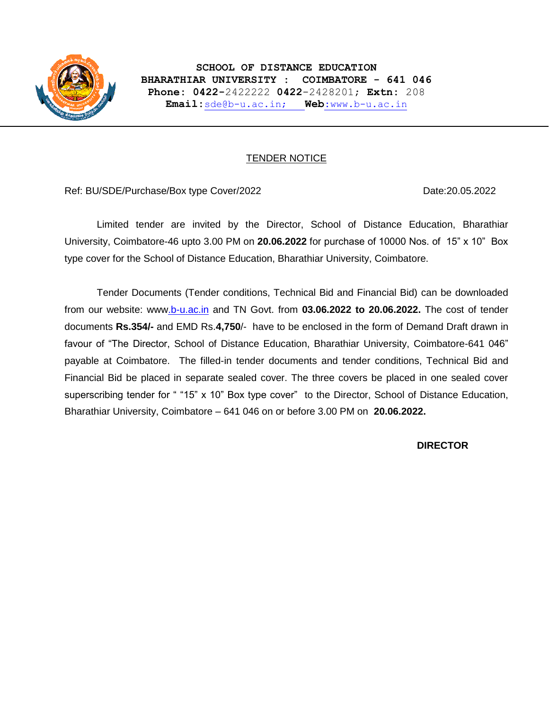

## TENDER NOTICE

### Ref: BU/SDE/Purchase/Box type Cover/2022 Date:20.05.2022 Date:20.05.2022

Limited tender are invited by the Director, School of Distance Education, Bharathiar University, Coimbatore-46 upto 3.00 PM on **20.06.2022** for purchase of 10000 Nos. of 15" x 10" Box type cover for the School of Distance Education, Bharathiar University, Coimbatore.

Tender Documents (Tender conditions, Technical Bid and Financial Bid) can be downloaded from our website: ww[w.b-u.ac.in](http://www.b-u.ac.in/) and TN Govt. from **03.06.2022 to 20.06.2022.** The cost of tender documents **Rs.354/-** and EMD Rs.**4,750**/- have to be enclosed in the form of Demand Draft drawn in favour of "The Director, School of Distance Education, Bharathiar University, Coimbatore-641 046" payable at Coimbatore. The filled-in tender documents and tender conditions, Technical Bid and Financial Bid be placed in separate sealed cover. The three covers be placed in one sealed cover superscribing tender for " "15" x 10" Box type cover" to the Director, School of Distance Education, Bharathiar University, Coimbatore – 641 046 on or before 3.00 PM on **20.06.2022.** 

### **DIRECTOR**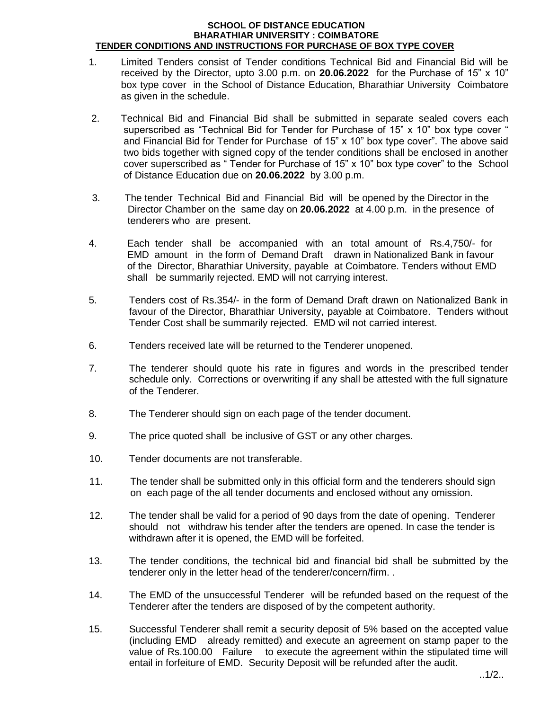#### **SCHOOL OF DISTANCE EDUCATION BHARATHIAR UNIVERSITY : COIMBATORE TENDER CONDITIONS AND INSTRUCTIONS FOR PURCHASE OF BOX TYPE COVER**

- 1. Limited Tenders consist of Tender conditions Technical Bid and Financial Bid will be received by the Director, upto 3.00 p.m. on **20.06.2022** for the Purchase of 15" x 10" box type cover in the School of Distance Education, Bharathiar University Coimbatore as given in the schedule.
- 2. Technical Bid and Financial Bid shall be submitted in separate sealed covers each superscribed as "Technical Bid for Tender for Purchase of 15" x 10" box type cover " and Financial Bid for Tender for Purchase of 15" x 10" box type cover". The above said two bids together with signed copy of the tender conditions shall be enclosed in another cover superscribed as " Tender for Purchase of 15" x 10" box type cover" to the School of Distance Education due on **20.06.2022** by 3.00 p.m.
- 3. The tender Technical Bid and Financial Bid will be opened by the Director in the Director Chamber on the same day on **20.06.2022** at 4.00 p.m. in the presence of tenderers who are present.
- 4. Each tender shall be accompanied with an total amount of Rs.4,750/- for EMD amount in the form of Demand Draft drawn in Nationalized Bank in favour of the Director, Bharathiar University, payable at Coimbatore. Tenders without EMD shall be summarily rejected. EMD will not carrying interest.
- 5. Tenders cost of Rs.354/- in the form of Demand Draft drawn on Nationalized Bank in favour of the Director, Bharathiar University, payable at Coimbatore. Tenders without Tender Cost shall be summarily rejected. EMD wil not carried interest.
- 6. Tenders received late will be returned to the Tenderer unopened.
- 7. The tenderer should quote his rate in figures and words in the prescribed tender schedule only. Corrections or overwriting if any shall be attested with the full signature of the Tenderer.
- 8. The Tenderer should sign on each page of the tender document.
- 9. The price quoted shall be inclusive of GST or any other charges.
- 10. Tender documents are not transferable.
- 11. The tender shall be submitted only in this official form and the tenderers should sign on each page of the all tender documents and enclosed without any omission.
- 12. The tender shall be valid for a period of 90 days from the date of opening. Tenderer should not withdraw his tender after the tenders are opened. In case the tender is withdrawn after it is opened, the EMD will be forfeited.
- 13. The tender conditions, the technical bid and financial bid shall be submitted by the tenderer only in the letter head of the tenderer/concern/firm. .
- 14. The EMD of the unsuccessful Tenderer will be refunded based on the request of the Tenderer after the tenders are disposed of by the competent authority.
- 15. Successful Tenderer shall remit a security deposit of 5% based on the accepted value (including EMD already remitted) and execute an agreement on stamp paper to the value of Rs.100.00 Failure to execute the agreement within the stipulated time will entail in forfeiture of EMD. Security Deposit will be refunded after the audit.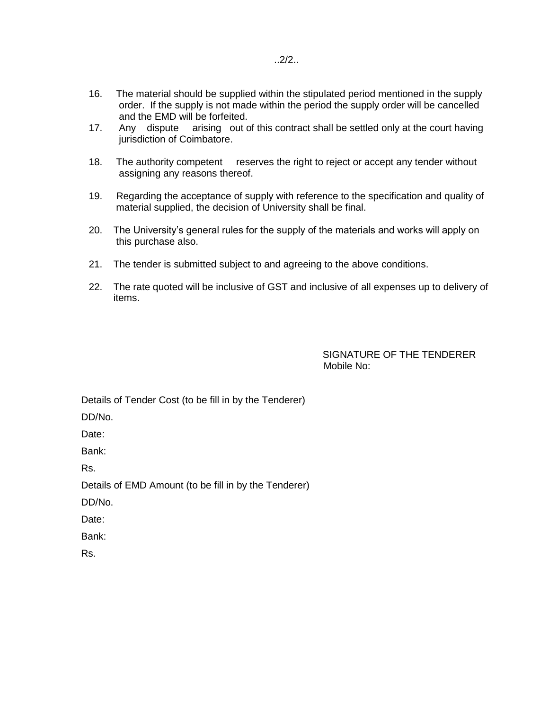- 16. The material should be supplied within the stipulated period mentioned in the supply order. If the supply is not made within the period the supply order will be cancelled and the EMD will be forfeited.
- 17. Any dispute arising out of this contract shall be settled only at the court having jurisdiction of Coimbatore.
- 18. The authority competent reserves the right to reject or accept any tender without assigning any reasons thereof.
- 19. Regarding the acceptance of supply with reference to the specification and quality of material supplied, the decision of University shall be final.
- 20. The University's general rules for the supply of the materials and works will apply on this purchase also.
- 21. The tender is submitted subject to and agreeing to the above conditions.
- 22. The rate quoted will be inclusive of GST and inclusive of all expenses up to delivery of items.

SIGNATURE OF THE TENDERER Mobile No:

Details of Tender Cost (to be fill in by the Tenderer)

DD/No.

Date:

Bank:

Rs.

Details of EMD Amount (to be fill in by the Tenderer)

DD/No.

Date:

Bank:

Rs.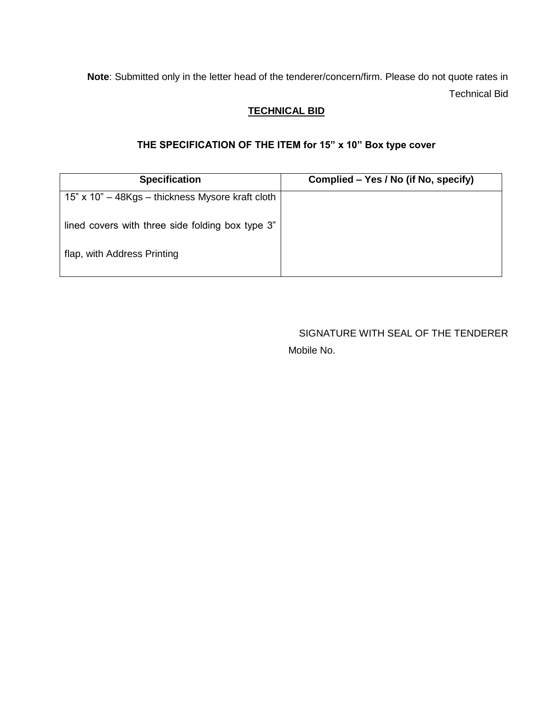**Note**: Submitted only in the letter head of the tenderer/concern/firm. Please do not quote rates in Technical Bid

# **TECHNICAL BID**

# **THE SPECIFICATION OF THE ITEM for 15" x 10" Box type cover**

| <b>Specification</b>                             | Complied – Yes / No (if No, specify) |  |  |
|--------------------------------------------------|--------------------------------------|--|--|
| 15" x 10" - 48Kgs - thickness Mysore kraft cloth |                                      |  |  |
| lined covers with three side folding box type 3" |                                      |  |  |
| flap, with Address Printing                      |                                      |  |  |

SIGNATURE WITH SEAL OF THE TENDERER Mobile No.